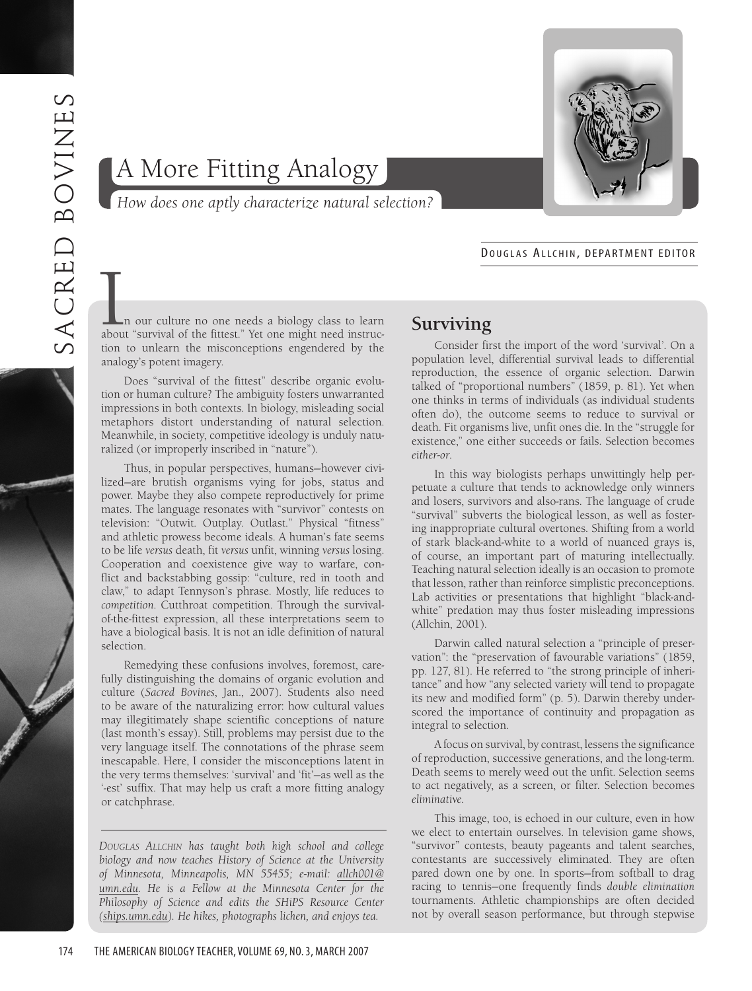# A More Fitting Analogy

*How does one aptly characterize natural selection?*



DOUGLAS ALLCHIN, DEPARTMENT EDITOR

n our culture no one needs a biology class to learn about "survival of the fittest." Yet one might need instruction to unlearn the misconceptions engendered by the analogy's potent imagery.

Does "survival of the fittest" describe organic evolution or human culture? The ambiguity fosters unwarranted impressions in both contexts. In biology, misleading social metaphors distort understanding of natural selection. Meanwhile, in society, competitive ideology is unduly naturalized (or improperly inscribed in "nature").

Thus, in popular perspectives, humans—however civilized—are brutish organisms vying for jobs, status and power. Maybe they also compete reproductively for prime mates. The language resonates with "survivor" contests on television: "Outwit. Outplay. Outlast." Physical "fitness" and athletic prowess become ideals. A human's fate seems to be life *versus* death, fit *versus* unfit, winning *versus* losing. Cooperation and coexistence give way to warfare, conflict and backstabbing gossip: "culture, red in tooth and claw," to adapt Tennyson's phrase. Mostly, life reduces to *competition*. Cutthroat competition. Through the survivalof-the-fittest expression, all these interpretations seem to have a biological basis. It is not an idle definition of natural selection.

Remedying these confusions involves, foremost, carefully distinguishing the domains of organic evolution and culture (*Sacred Bovines*, Jan., 2007). Students also need to be aware of the naturalizing error: how cultural values may illegitimately shape scientific conceptions of nature (last month's essay). Still, problems may persist due to the very language itself. The connotations of the phrase seem inescapable. Here, I consider the misconceptions latent in the very terms themselves: 'survival' and 'fit'—as well as the '-est' suffix. That may help us craft a more fitting analogy or catchphrase.

*Douglas Allchin has taught both high school and college biology and now teaches History of Science at the University of Minnesota, Minneapolis, MN 55455; e-mail: allch001@ umn.edu. He is a Fellow at the Minnesota Center for the Philosophy of Science and edits the SHiPS Resource Center (ships.umn.edu). He hikes, photographs lichen, and enjoys tea.*

#### **Surviving**

Consider first the import of the word 'survival'. On a population level, differential survival leads to differential reproduction, the essence of organic selection. Darwin talked of "proportional numbers" (1859, p. 81). Yet when one thinks in terms of individuals (as individual students often do), the outcome seems to reduce to survival or death. Fit organisms live, unfit ones die. In the "struggle for existence," one either succeeds or fails. Selection becomes *either-or*.

In this way biologists perhaps unwittingly help perpetuate a culture that tends to acknowledge only winners and losers, survivors and also-rans. The language of crude "survival" subverts the biological lesson, as well as fostering inappropriate cultural overtones. Shifting from a world of stark black-and-white to a world of nuanced grays is, of course, an important part of maturing intellectually. Teaching natural selection ideally is an occasion to promote that lesson, rather than reinforce simplistic preconceptions. Lab activities or presentations that highlight "black-andwhite" predation may thus foster misleading impressions (Allchin, 2001).

Darwin called natural selection a "principle of preservation": the "preservation of favourable variations" (1859, pp. 127, 81). He referred to "the strong principle of inheritance" and how "any selected variety will tend to propagate its new and modified form" (p. 5). Darwin thereby underscored the importance of continuity and propagation as integral to selection.

A focus on survival, by contrast, lessens the significance of reproduction, successive generations, and the long-term. Death seems to merely weed out the unfit. Selection seems to act negatively, as a screen, or filter. Selection becomes *eliminative*.

This image, too, is echoed in our culture, even in how we elect to entertain ourselves. In television game shows, "survivor" contests, beauty pageants and talent searches, contestants are successively eliminated. They are often pared down one by one. In sports—from softball to drag racing to tennis—one frequently finds *double elimination* tournaments. Athletic championships are often decided not by overall season performance, but through stepwise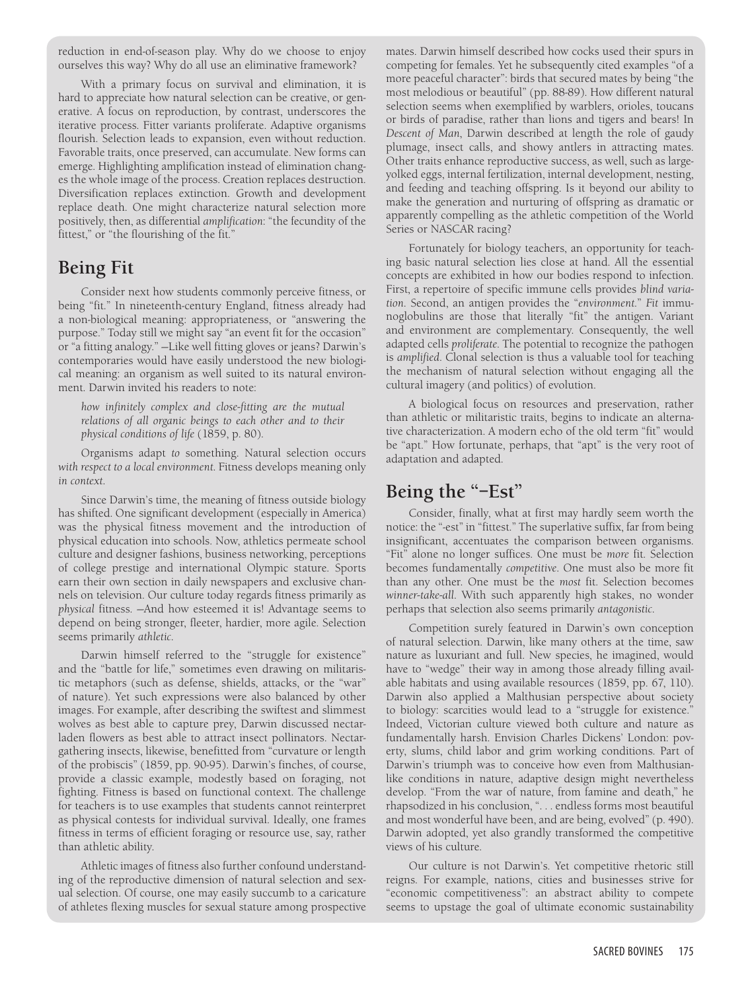reduction in end-of-season play. Why do we choose to enjoy ourselves this way? Why do all use an eliminative framework?

With a primary focus on survival and elimination, it is hard to appreciate how natural selection can be creative, or generative. A focus on reproduction, by contrast, underscores the iterative process. Fitter variants proliferate. Adaptive organisms flourish. Selection leads to expansion, even without reduction. Favorable traits, once preserved, can accumulate. New forms can emerge. Highlighting amplification instead of elimination changes the whole image of the process. Creation replaces destruction. Diversification replaces extinction. Growth and development replace death. One might characterize natural selection more positively, then, as differential *amplification*: "the fecundity of the fittest," or "the flourishing of the fit."

## **Being Fit**

Consider next how students commonly perceive fitness, or being "fit." In nineteenth-century England, fitness already had a non-biological meaning: appropriateness, or "answering the purpose." Today still we might say "an event fit for the occasion" or "a fitting analogy." —Like well fitting gloves or jeans? Darwin's contemporaries would have easily understood the new biological meaning: an organism as well suited to its natural environment. Darwin invited his readers to note:

*how infinitely complex and close-fitting are the mutual relations of all organic beings to each other and to their physical conditions of life* (1859, p. 80).

Organisms adapt *to* something. Natural selection occurs *with respect to a local environment*. Fitness develops meaning only *in context*.

Since Darwin's time, the meaning of fitness outside biology has shifted. One significant development (especially in America) was the physical fitness movement and the introduction of physical education into schools. Now, athletics permeate school culture and designer fashions, business networking, perceptions of college prestige and international Olympic stature. Sports earn their own section in daily newspapers and exclusive channels on television. Our culture today regards fitness primarily as *physical* fitness. —And how esteemed it is! Advantage seems to depend on being stronger, fleeter, hardier, more agile. Selection seems primarily *athletic*.

Darwin himself referred to the "struggle for existence" and the "battle for life," sometimes even drawing on militaristic metaphors (such as defense, shields, attacks, or the "war" of nature). Yet such expressions were also balanced by other images. For example, after describing the swiftest and slimmest wolves as best able to capture prey, Darwin discussed nectarladen flowers as best able to attract insect pollinators. Nectargathering insects, likewise, benefitted from "curvature or length of the probiscis" (1859, pp. 90-95). Darwin's finches, of course, provide a classic example, modestly based on foraging, not fighting. Fitness is based on functional context. The challenge for teachers is to use examples that students cannot reinterpret as physical contests for individual survival. Ideally, one frames fitness in terms of efficient foraging or resource use, say, rather than athletic ability.

Athletic images of fitness also further confound understanding of the reproductive dimension of natural selection and sexual selection. Of course, one may easily succumb to a caricature of athletes flexing muscles for sexual stature among prospective

mates. Darwin himself described how cocks used their spurs in competing for females. Yet he subsequently cited examples "of a more peaceful character": birds that secured mates by being "the most melodious or beautiful" (pp. 88-89). How different natural selection seems when exemplified by warblers, orioles, toucans or birds of paradise, rather than lions and tigers and bears! In *Descent of Man*, Darwin described at length the role of gaudy plumage, insect calls, and showy antlers in attracting mates. Other traits enhance reproductive success, as well, such as largeyolked eggs, internal fertilization, internal development, nesting, and feeding and teaching offspring. Is it beyond our ability to make the generation and nurturing of offspring as dramatic or apparently compelling as the athletic competition of the World Series or NASCAR racing?

Fortunately for biology teachers, an opportunity for teaching basic natural selection lies close at hand. All the essential concepts are exhibited in how our bodies respond to infection. First, a repertoire of specific immune cells provides *blind variation*. Second, an antigen provides the "*environment*." *Fit* immunoglobulins are those that literally "fit" the antigen. Variant and environment are complementary. Consequently, the well adapted cells *proliferate*. The potential to recognize the pathogen is *amplified*. Clonal selection is thus a valuable tool for teaching the mechanism of natural selection without engaging all the cultural imagery (and politics) of evolution.

A biological focus on resources and preservation, rather than athletic or militaristic traits, begins to indicate an alternative characterization. A modern echo of the old term "fit" would be "apt." How fortunate, perhaps, that "apt" is the very root of adaptation and adapted.

#### **Being the "–Est"**

Consider, finally, what at first may hardly seem worth the notice: the "-est" in "fittest." The superlative suffix, far from being insignificant, accentuates the comparison between organisms. "Fit" alone no longer suffices. One must be *more* fit. Selection becomes fundamentally *competitive*. One must also be more fit than any other. One must be the *most* fit. Selection becomes *winner-take-all*. With such apparently high stakes, no wonder perhaps that selection also seems primarily *antagonistic*.

Competition surely featured in Darwin's own conception of natural selection. Darwin, like many others at the time, saw nature as luxuriant and full. New species, he imagined, would have to "wedge" their way in among those already filling available habitats and using available resources (1859, pp. 67, 110). Darwin also applied a Malthusian perspective about society to biology: scarcities would lead to a "struggle for existence." Indeed, Victorian culture viewed both culture and nature as fundamentally harsh. Envision Charles Dickens' London: poverty, slums, child labor and grim working conditions. Part of Darwin's triumph was to conceive how even from Malthusianlike conditions in nature, adaptive design might nevertheless develop. "From the war of nature, from famine and death," he rhapsodized in his conclusion, "... endless forms most beautiful and most wonderful have been, and are being, evolved" (p. 490). Darwin adopted, yet also grandly transformed the competitive views of his culture.

Our culture is not Darwin's. Yet competitive rhetoric still reigns. For example, nations, cities and businesses strive for "economic competitiveness": an abstract ability to compete seems to upstage the goal of ultimate economic sustainability